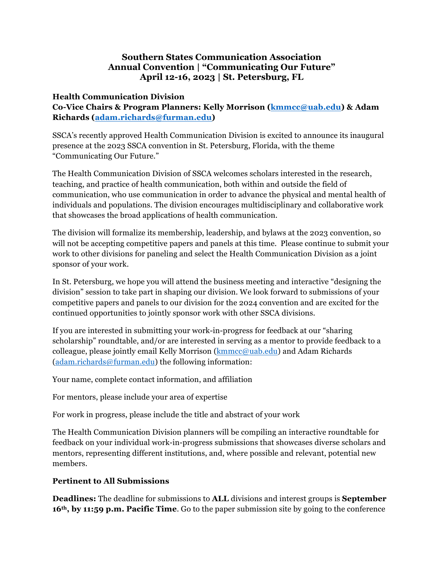## **Southern States Communication Association Annual Convention | "Communicating Our Future" April 12-16, 2023 | St. Petersburg, FL**

## **Health Communication Division**

**Co-Vice Chairs & Program Planners: Kelly Morrison (kmmcc@uab.edu) & Adam Richards (adam.richards@furman.edu)**

SSCA's recently approved Health Communication Division is excited to announce its inaugural presence at the 2023 SSCA convention in St. Petersburg, Florida, with the theme "Communicating Our Future."

The Health Communication Division of SSCA welcomes scholars interested in the research, teaching, and practice of health communication, both within and outside the field of communication, who use communication in order to advance the physical and mental health of individuals and populations. The division encourages multidisciplinary and collaborative work that showcases the broad applications of health communication.

The division will formalize its membership, leadership, and bylaws at the 2023 convention, so will not be accepting competitive papers and panels at this time. Please continue to submit your work to other divisions for paneling and select the Health Communication Division as a joint sponsor of your work.

In St. Petersburg, we hope you will attend the business meeting and interactive "designing the division" session to take part in shaping our division. We look forward to submissions of your competitive papers and panels to our division for the 2024 convention and are excited for the continued opportunities to jointly sponsor work with other SSCA divisions.

If you are interested in submitting your work-in-progress for feedback at our "sharing scholarship" roundtable, and/or are interested in serving as a mentor to provide feedback to a colleague, please jointly email Kelly Morrison ( $kmmc@uab.edu$ ) and Adam Richards (adam.richards@furman.edu) the following information:

Your name, complete contact information, and affiliation

For mentors, please include your area of expertise

For work in progress, please include the title and abstract of your work

The Health Communication Division planners will be compiling an interactive roundtable for feedback on your individual work-in-progress submissions that showcases diverse scholars and mentors, representing different institutions, and, where possible and relevant, potential new members.

## **Pertinent to All Submissions**

**Deadlines:** The deadline for submissions to **ALL** divisions and interest groups is **September 16th, by 11:59 p.m. Pacific Time**. Go to the paper submission site by going to the conference